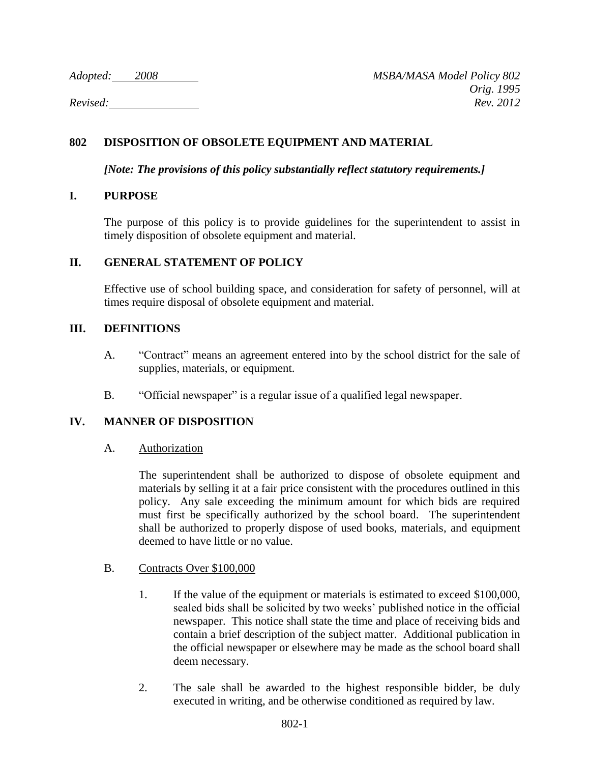*Adopted: 2008 MSBA/MASA Model Policy 802 Orig. 1995 Revised: Rev. 2012*

# **802 DISPOSITION OF OBSOLETE EQUIPMENT AND MATERIAL**

*[Note: The provisions of this policy substantially reflect statutory requirements.]*

### **I. PURPOSE**

The purpose of this policy is to provide guidelines for the superintendent to assist in timely disposition of obsolete equipment and material.

## **II. GENERAL STATEMENT OF POLICY**

Effective use of school building space, and consideration for safety of personnel, will at times require disposal of obsolete equipment and material.

## **III. DEFINITIONS**

- A. "Contract" means an agreement entered into by the school district for the sale of supplies, materials, or equipment.
- B. "Official newspaper" is a regular issue of a qualified legal newspaper.

# **IV. MANNER OF DISPOSITION**

A. Authorization

The superintendent shall be authorized to dispose of obsolete equipment and materials by selling it at a fair price consistent with the procedures outlined in this policy. Any sale exceeding the minimum amount for which bids are required must first be specifically authorized by the school board. The superintendent shall be authorized to properly dispose of used books, materials, and equipment deemed to have little or no value.

- B. Contracts Over \$100,000
	- 1. If the value of the equipment or materials is estimated to exceed \$100,000, sealed bids shall be solicited by two weeks' published notice in the official newspaper. This notice shall state the time and place of receiving bids and contain a brief description of the subject matter. Additional publication in the official newspaper or elsewhere may be made as the school board shall deem necessary.
	- 2. The sale shall be awarded to the highest responsible bidder, be duly executed in writing, and be otherwise conditioned as required by law.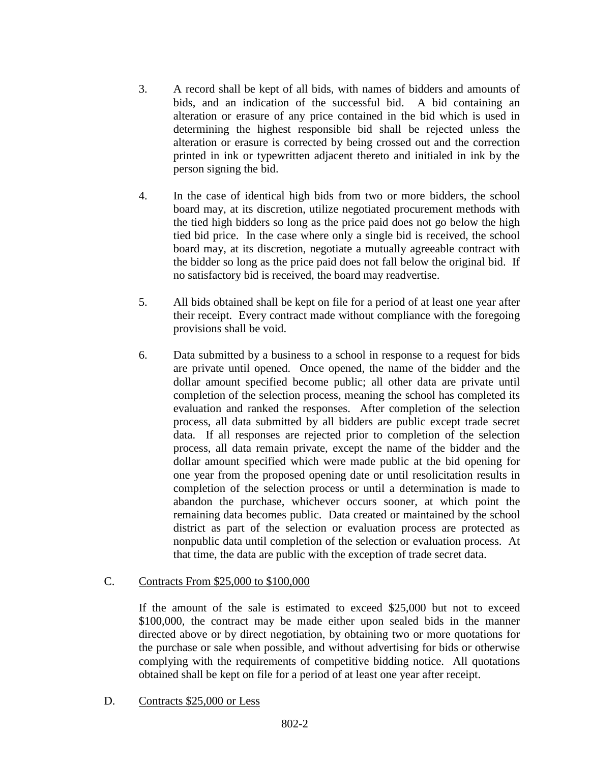- 3. A record shall be kept of all bids, with names of bidders and amounts of bids, and an indication of the successful bid. A bid containing an alteration or erasure of any price contained in the bid which is used in determining the highest responsible bid shall be rejected unless the alteration or erasure is corrected by being crossed out and the correction printed in ink or typewritten adjacent thereto and initialed in ink by the person signing the bid.
- 4. In the case of identical high bids from two or more bidders, the school board may, at its discretion, utilize negotiated procurement methods with the tied high bidders so long as the price paid does not go below the high tied bid price. In the case where only a single bid is received, the school board may, at its discretion, negotiate a mutually agreeable contract with the bidder so long as the price paid does not fall below the original bid. If no satisfactory bid is received, the board may readvertise.
- 5. All bids obtained shall be kept on file for a period of at least one year after their receipt. Every contract made without compliance with the foregoing provisions shall be void.
- 6. Data submitted by a business to a school in response to a request for bids are private until opened. Once opened, the name of the bidder and the dollar amount specified become public; all other data are private until completion of the selection process, meaning the school has completed its evaluation and ranked the responses. After completion of the selection process, all data submitted by all bidders are public except trade secret data. If all responses are rejected prior to completion of the selection process, all data remain private, except the name of the bidder and the dollar amount specified which were made public at the bid opening for one year from the proposed opening date or until resolicitation results in completion of the selection process or until a determination is made to abandon the purchase, whichever occurs sooner, at which point the remaining data becomes public. Data created or maintained by the school district as part of the selection or evaluation process are protected as nonpublic data until completion of the selection or evaluation process. At that time, the data are public with the exception of trade secret data.

### C. Contracts From \$25,000 to \$100,000

If the amount of the sale is estimated to exceed \$25,000 but not to exceed \$100,000, the contract may be made either upon sealed bids in the manner directed above or by direct negotiation, by obtaining two or more quotations for the purchase or sale when possible, and without advertising for bids or otherwise complying with the requirements of competitive bidding notice. All quotations obtained shall be kept on file for a period of at least one year after receipt.

D. Contracts \$25,000 or Less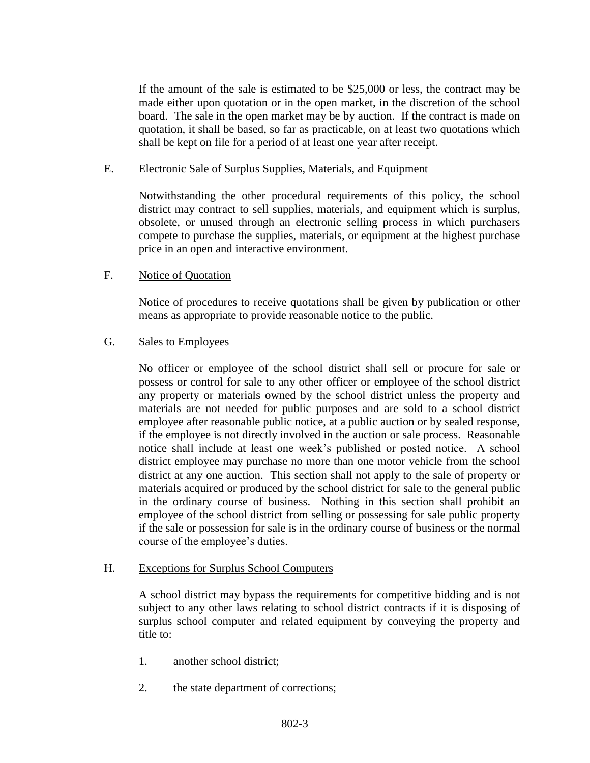If the amount of the sale is estimated to be \$25,000 or less, the contract may be made either upon quotation or in the open market, in the discretion of the school board. The sale in the open market may be by auction. If the contract is made on quotation, it shall be based, so far as practicable, on at least two quotations which shall be kept on file for a period of at least one year after receipt.

### E. Electronic Sale of Surplus Supplies, Materials, and Equipment

Notwithstanding the other procedural requirements of this policy, the school district may contract to sell supplies, materials, and equipment which is surplus, obsolete, or unused through an electronic selling process in which purchasers compete to purchase the supplies, materials, or equipment at the highest purchase price in an open and interactive environment.

### F. Notice of Quotation

Notice of procedures to receive quotations shall be given by publication or other means as appropriate to provide reasonable notice to the public.

### G. Sales to Employees

No officer or employee of the school district shall sell or procure for sale or possess or control for sale to any other officer or employee of the school district any property or materials owned by the school district unless the property and materials are not needed for public purposes and are sold to a school district employee after reasonable public notice, at a public auction or by sealed response, if the employee is not directly involved in the auction or sale process. Reasonable notice shall include at least one week's published or posted notice. A school district employee may purchase no more than one motor vehicle from the school district at any one auction. This section shall not apply to the sale of property or materials acquired or produced by the school district for sale to the general public in the ordinary course of business. Nothing in this section shall prohibit an employee of the school district from selling or possessing for sale public property if the sale or possession for sale is in the ordinary course of business or the normal course of the employee's duties.

### H. Exceptions for Surplus School Computers

A school district may bypass the requirements for competitive bidding and is not subject to any other laws relating to school district contracts if it is disposing of surplus school computer and related equipment by conveying the property and title to:

- 1. another school district;
- 2. the state department of corrections;